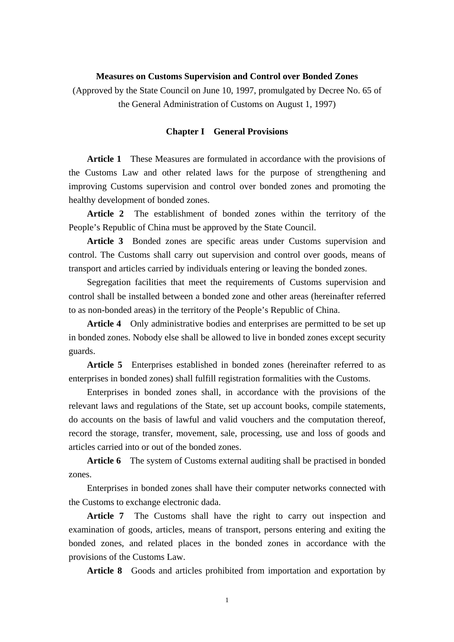### **Measures on Customs Supervision and Control over Bonded Zones**

(Approved by the State Council on June 10, 1997, promulgated by Decree No. 65 of the General Administration of Customs on August 1, 1997)

#### **Chapter I General Provisions**

 **Article 1** These Measures are formulated in accordance with the provisions of the Customs Law and other related laws for the purpose of strengthening and improving Customs supervision and control over bonded zones and promoting the healthy development of bonded zones.

 **Article 2** The establishment of bonded zones within the territory of the People's Republic of China must be approved by the State Council.

 **Article 3** Bonded zones are specific areas under Customs supervision and control. The Customs shall carry out supervision and control over goods, means of transport and articles carried by individuals entering or leaving the bonded zones.

 Segregation facilities that meet the requirements of Customs supervision and control shall be installed between a bonded zone and other areas (hereinafter referred to as non-bonded areas) in the territory of the People's Republic of China.

 **Article 4** Only administrative bodies and enterprises are permitted to be set up in bonded zones. Nobody else shall be allowed to live in bonded zones except security guards.

 **Article 5** Enterprises established in bonded zones (hereinafter referred to as enterprises in bonded zones) shall fulfill registration formalities with the Customs.

 Enterprises in bonded zones shall, in accordance with the provisions of the relevant laws and regulations of the State, set up account books, compile statements, do accounts on the basis of lawful and valid vouchers and the computation thereof, record the storage, transfer, movement, sale, processing, use and loss of goods and articles carried into or out of the bonded zones.

 **Article 6** The system of Customs external auditing shall be practised in bonded zones.

 Enterprises in bonded zones shall have their computer networks connected with the Customs to exchange electronic dada.

 **Article 7** The Customs shall have the right to carry out inspection and examination of goods, articles, means of transport, persons entering and exiting the bonded zones, and related places in the bonded zones in accordance with the provisions of the Customs Law.

**Article 8** Goods and articles prohibited from importation and exportation by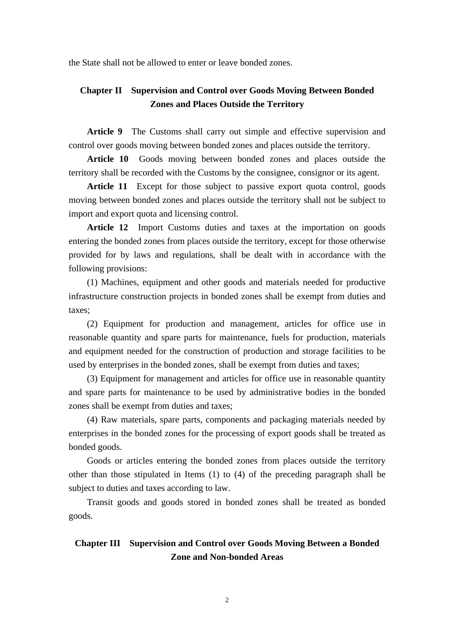the State shall not be allowed to enter or leave bonded zones.

## **Chapter II Supervision and Control over Goods Moving Between Bonded Zones and Places Outside the Territory**

Article 9 The Customs shall carry out simple and effective supervision and control over goods moving between bonded zones and places outside the territory.

 **Article 10** Goods moving between bonded zones and places outside the territory shall be recorded with the Customs by the consignee, consignor or its agent.

 **Article 11** Except for those subject to passive export quota control, goods moving between bonded zones and places outside the territory shall not be subject to import and export quota and licensing control.

 **Article 12** Import Customs duties and taxes at the importation on goods entering the bonded zones from places outside the territory, except for those otherwise provided for by laws and regulations, shall be dealt with in accordance with the following provisions:

 (1) Machines, equipment and other goods and materials needed for productive infrastructure construction projects in bonded zones shall be exempt from duties and taxes;

 (2) Equipment for production and management, articles for office use in reasonable quantity and spare parts for maintenance, fuels for production, materials and equipment needed for the construction of production and storage facilities to be used by enterprises in the bonded zones, shall be exempt from duties and taxes;

 (3) Equipment for management and articles for office use in reasonable quantity and spare parts for maintenance to be used by administrative bodies in the bonded zones shall be exempt from duties and taxes;

 (4) Raw materials, spare parts, components and packaging materials needed by enterprises in the bonded zones for the processing of export goods shall be treated as bonded goods.

 Goods or articles entering the bonded zones from places outside the territory other than those stipulated in Items (1) to (4) of the preceding paragraph shall be subject to duties and taxes according to law.

 Transit goods and goods stored in bonded zones shall be treated as bonded goods.

# **Chapter III Supervision and Control over Goods Moving Between a Bonded Zone and Non-bonded Areas**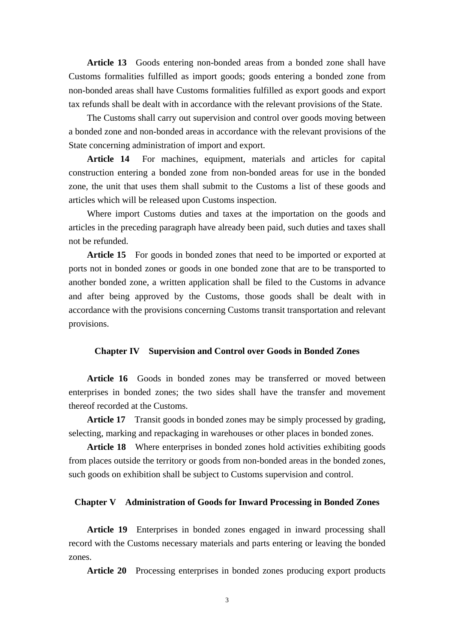**Article 13** Goods entering non-bonded areas from a bonded zone shall have Customs formalities fulfilled as import goods; goods entering a bonded zone from non-bonded areas shall have Customs formalities fulfilled as export goods and export tax refunds shall be dealt with in accordance with the relevant provisions of the State.

 The Customs shall carry out supervision and control over goods moving between a bonded zone and non-bonded areas in accordance with the relevant provisions of the State concerning administration of import and export.

 **Article 14** For machines, equipment, materials and articles for capital construction entering a bonded zone from non-bonded areas for use in the bonded zone, the unit that uses them shall submit to the Customs a list of these goods and articles which will be released upon Customs inspection.

 Where import Customs duties and taxes at the importation on the goods and articles in the preceding paragraph have already been paid, such duties and taxes shall not be refunded.

Article 15 For goods in bonded zones that need to be imported or exported at ports not in bonded zones or goods in one bonded zone that are to be transported to another bonded zone, a written application shall be filed to the Customs in advance and after being approved by the Customs, those goods shall be dealt with in accordance with the provisions concerning Customs transit transportation and relevant provisions.

#### **Chapter IV Supervision and Control over Goods in Bonded Zones**

 **Article 16** Goods in bonded zones may be transferred or moved between enterprises in bonded zones; the two sides shall have the transfer and movement thereof recorded at the Customs.

 **Article 17** Transit goods in bonded zones may be simply processed by grading, selecting, marking and repackaging in warehouses or other places in bonded zones.

Article 18 Where enterprises in bonded zones hold activities exhibiting goods from places outside the territory or goods from non-bonded areas in the bonded zones, such goods on exhibition shall be subject to Customs supervision and control.

### **Chapter V Administration of Goods for Inward Processing in Bonded Zones**

 **Article 19** Enterprises in bonded zones engaged in inward processing shall record with the Customs necessary materials and parts entering or leaving the bonded zones.

**Article 20** Processing enterprises in bonded zones producing export products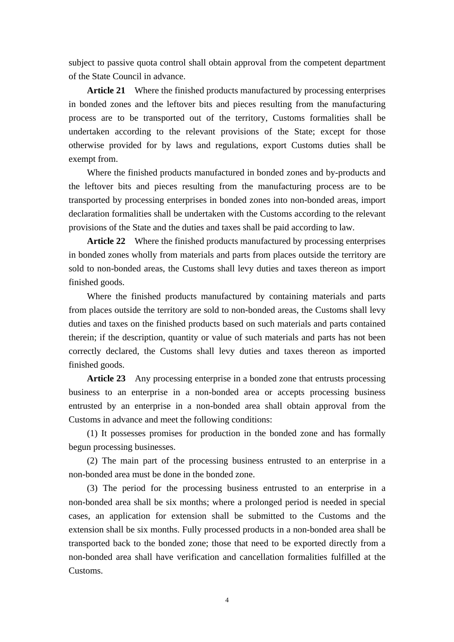subject to passive quota control shall obtain approval from the competent department of the State Council in advance.

 **Article 21** Where the finished products manufactured by processing enterprises in bonded zones and the leftover bits and pieces resulting from the manufacturing process are to be transported out of the territory, Customs formalities shall be undertaken according to the relevant provisions of the State; except for those otherwise provided for by laws and regulations, export Customs duties shall be exempt from.

 Where the finished products manufactured in bonded zones and by-products and the leftover bits and pieces resulting from the manufacturing process are to be transported by processing enterprises in bonded zones into non-bonded areas, import declaration formalities shall be undertaken with the Customs according to the relevant provisions of the State and the duties and taxes shall be paid according to law.

 **Article 22** Where the finished products manufactured by processing enterprises in bonded zones wholly from materials and parts from places outside the territory are sold to non-bonded areas, the Customs shall levy duties and taxes thereon as import finished goods.

 Where the finished products manufactured by containing materials and parts from places outside the territory are sold to non-bonded areas, the Customs shall levy duties and taxes on the finished products based on such materials and parts contained therein; if the description, quantity or value of such materials and parts has not been correctly declared, the Customs shall levy duties and taxes thereon as imported finished goods.

 **Article 23** Any processing enterprise in a bonded zone that entrusts processing business to an enterprise in a non-bonded area or accepts processing business entrusted by an enterprise in a non-bonded area shall obtain approval from the Customs in advance and meet the following conditions:

 (1) It possesses promises for production in the bonded zone and has formally begun processing businesses.

 (2) The main part of the processing business entrusted to an enterprise in a non-bonded area must be done in the bonded zone.

 (3) The period for the processing business entrusted to an enterprise in a non-bonded area shall be six months; where a prolonged period is needed in special cases, an application for extension shall be submitted to the Customs and the extension shall be six months. Fully processed products in a non-bonded area shall be transported back to the bonded zone; those that need to be exported directly from a non-bonded area shall have verification and cancellation formalities fulfilled at the Customs.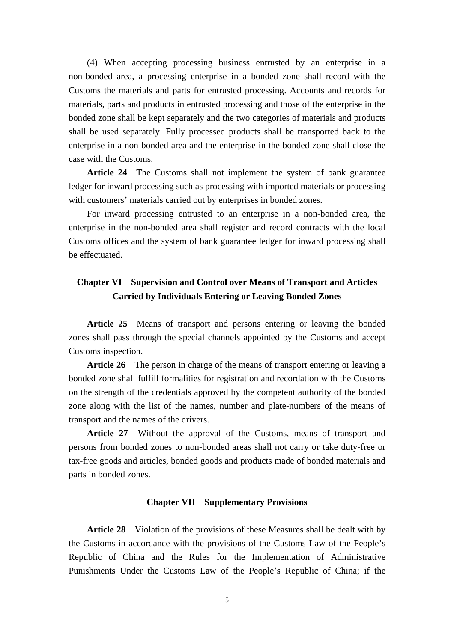(4) When accepting processing business entrusted by an enterprise in a non-bonded area, a processing enterprise in a bonded zone shall record with the Customs the materials and parts for entrusted processing. Accounts and records for materials, parts and products in entrusted processing and those of the enterprise in the bonded zone shall be kept separately and the two categories of materials and products shall be used separately. Fully processed products shall be transported back to the enterprise in a non-bonded area and the enterprise in the bonded zone shall close the case with the Customs.

 **Article 24** The Customs shall not implement the system of bank guarantee ledger for inward processing such as processing with imported materials or processing with customers' materials carried out by enterprises in bonded zones.

 For inward processing entrusted to an enterprise in a non-bonded area, the enterprise in the non-bonded area shall register and record contracts with the local Customs offices and the system of bank guarantee ledger for inward processing shall be effectuated.

## **Chapter VI Supervision and Control over Means of Transport and Articles Carried by Individuals Entering or Leaving Bonded Zones**

 **Article 25** Means of transport and persons entering or leaving the bonded zones shall pass through the special channels appointed by the Customs and accept Customs inspection.

 **Article 26** The person in charge of the means of transport entering or leaving a bonded zone shall fulfill formalities for registration and recordation with the Customs on the strength of the credentials approved by the competent authority of the bonded zone along with the list of the names, number and plate-numbers of the means of transport and the names of the drivers.

 **Article 27** Without the approval of the Customs, means of transport and persons from bonded zones to non-bonded areas shall not carry or take duty-free or tax-free goods and articles, bonded goods and products made of bonded materials and parts in bonded zones.

#### **Chapter VII Supplementary Provisions**

 **Article 28** Violation of the provisions of these Measures shall be dealt with by the Customs in accordance with the provisions of the Customs Law of the People's Republic of China and the Rules for the Implementation of Administrative Punishments Under the Customs Law of the People's Republic of China; if the